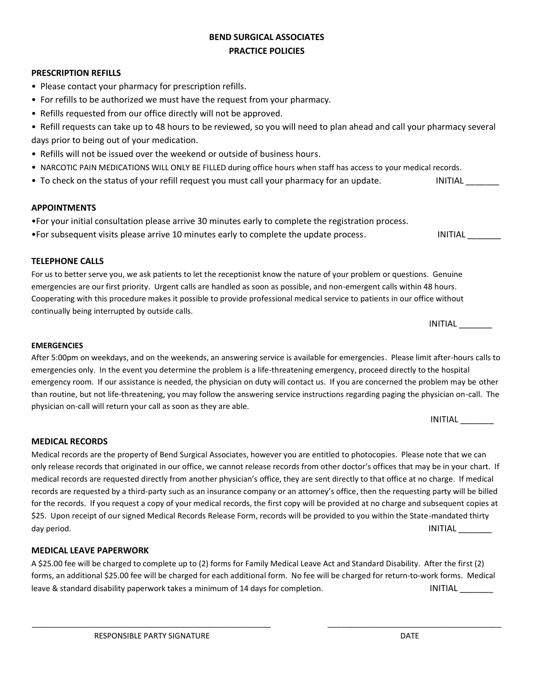# **BEND SURGICAL ASSOCIATES PRACTICE POLICIES**

#### **PRESCRIPTION REFILLS**

- Please contact your pharmacy for prescription refills.
- For refills to be authorized we must have the request from your pharmacy.
- Refills requested from our office directly will not be approved.
- Refill requests can take up to 48 hours to be reviewed, so you will need to plan ahead and call your pharmacy several days prior to being out of your medication.
- Refills will not be issued over the weekend or outside of business hours.
- NARCOTIC PAIN MEDICATIONS WILL ONLY BE FILLED during office hours when staff has access to your medical records.
- To check on the status of your refill request you must call your pharmacy for an update. INITIAL THE INITIAL

### **APPOINTMENTS**

- •For your initial consultation please arrive 30 minutes early to complete the registration process.
- •For subsequent visits please arrive 10 minutes early to complete the update process. INITIAL NITIAL

### **TELEPHONE CALLS**

For us to better serve you, we ask patients to let the receptionist know the nature of your problem or questions. Genuine emergencies are our first priority. Urgent calls are handled as soon as possible, and non-emergent calls within 48 hours. Cooperating with this procedure makes it possible to provide professional medical service to patients in our office without continually being interrupted by outside calls.

|  | . <del>. .</del><br>INIJ<br>ıΛ<br>. . |
|--|---------------------------------------|
|--|---------------------------------------|

 $INITIAL$ 

### **EMERGENCIES**

After 5:00pm on weekdays, and on the weekends, an answering service is available for emergencies. Please limit after-hours calls to emergencies only. In the event you determine the problem is a life-threatening emergency, proceed directly to the hospital emergency room. If our assistance is needed, the physician on duty will contact us. If you are concerned the problem may be other than routine, but not life-threatening, you may follow the answering service instructions regarding paging the physician on-call. The physician on-call will return your call as soon as they are able.

**MEDICAL RECORDS** Medical records are the property of Bend Surgical Associates, however you are entitled to photocopies. Please note that we can only release records that originated in our office, we cannot release records from other doctor's offices that may be in your chart. If

medical records are requested directly from another physician's office, they are sent directly to that office at no charge. If medical records are requested by a third-party such as an insurance company or an attorney's office, then the requesting party will be billed for the records. If you request a copy of your medical records, the first copy will be provided at no charge and subsequent copies at \$25. Upon receipt of our signed Medical Records Release Form, records will be provided to you within the State-mandated thirty day period. INITIAL the state of the state of the state of the state of the state of the state of the state of the state of the state of the state of the state of the state of the state of the state of the state of the sta

#### **MEDICAL LEAVE PAPERWORK**

A \$25.00 fee will be charged to complete up to (2) forms for Family Medical Leave Act and Standard Disability. After the first (2) forms, an additional \$25.00 fee will be charged for each additional form. No fee will be charged for return-to-work forms. Medical leave & standard disability paperwork takes a minimum of 14 days for completion. The INITIAL L

\_\_\_\_\_\_\_\_\_\_\_\_\_\_\_\_\_\_\_\_\_\_\_\_\_\_\_\_\_\_\_\_\_\_\_\_\_\_\_\_\_\_\_\_\_\_\_\_\_\_\_\_\_\_\_ \_\_\_\_\_\_\_\_\_\_\_\_\_\_\_\_\_\_\_\_\_\_\_\_\_\_\_\_\_\_\_\_\_\_\_\_\_\_\_\_